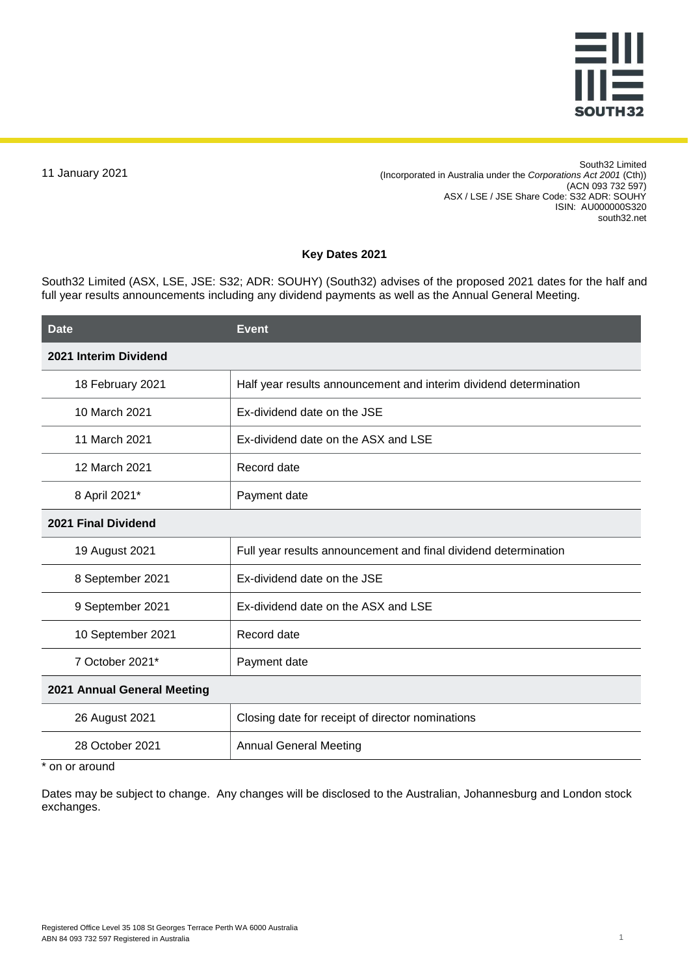

11 January 2021

South32 Limited (Incorporated in Australia under the *Corporations Act 2001* (Cth)) (ACN 093 732 597) ASX / LSE / JSE Share Code: S32 ADR: SOUHY ISIN: AU000000S320 south32.net

## **Key Dates 2021**

South32 Limited (ASX, LSE, JSE: S32; ADR: SOUHY) (South32) advises of the proposed 2021 dates for the half and full year results announcements including any dividend payments as well as the Annual General Meeting.

| <b>Event</b>                                                      |  |
|-------------------------------------------------------------------|--|
|                                                                   |  |
| Half year results announcement and interim dividend determination |  |
| Ex-dividend date on the JSE                                       |  |
| Ex-dividend date on the ASX and LSE                               |  |
| Record date                                                       |  |
| Payment date                                                      |  |
| 2021 Final Dividend                                               |  |
| Full year results announcement and final dividend determination   |  |
| Ex-dividend date on the JSE                                       |  |
| Ex-dividend date on the ASX and LSE                               |  |
| Record date                                                       |  |
| Payment date                                                      |  |
| 2021 Annual General Meeting                                       |  |
| Closing date for receipt of director nominations                  |  |
| <b>Annual General Meeting</b>                                     |  |
|                                                                   |  |

on or around

Dates may be subject to change. Any changes will be disclosed to the Australian, Johannesburg and London stock exchanges.